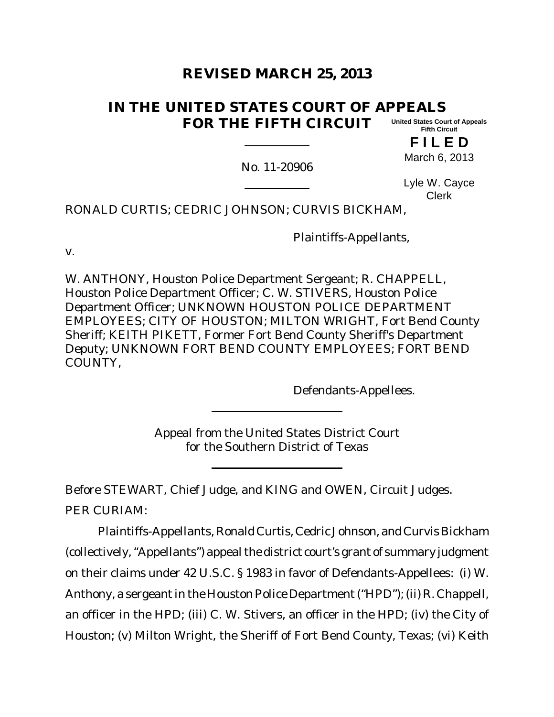# **REVISED MARCH 25, 2013**

#### **IN THE UNITED STATES COURT OF APPEALS FOR THE FIFTH CIRCUIT United States Court of Appeals Fifth Circuit**

**F I L E D** March 6, 2013

No. 11-20906

Lyle W. Cayce Clerk

RONALD CURTIS; CEDRIC JOHNSON; CURVIS BICKHAM,

Plaintiffs-Appellants,

v.

W. ANTHONY, Houston Police Department Sergeant; R. CHAPPELL, Houston Police Department Officer; C. W. STIVERS, Houston Police Department Officer; UNKNOWN HOUSTON POLICE DEPARTMENT EMPLOYEES; CITY OF HOUSTON; MILTON WRIGHT, Fort Bend County Sheriff; KEITH PIKETT, Former Fort Bend County Sheriff's Department Deputy; UNKNOWN FORT BEND COUNTY EMPLOYEES; FORT BEND COUNTY,

Defendants-Appellees.

Appeal from the United States District Court for the Southern District of Texas

Before STEWART, Chief Judge, and KING and OWEN, Circuit Judges. PER CURIAM:

Plaintiffs-Appellants, Ronald Curtis, Cedric Johnson, and Curvis Bickham (collectively, "Appellants") appeal the district court's grant of summary judgment on their claims under 42 U.S.C. § 1983 in favor of Defendants-Appellees: (i) W. Anthony, a sergeant in the Houston Police Department ("HPD"); (ii) R. Chappell, an officer in the HPD; (iii) C. W. Stivers, an officer in the HPD; (iv) the City of Houston; (v) Milton Wright, the Sheriff of Fort Bend County, Texas; (vi) Keith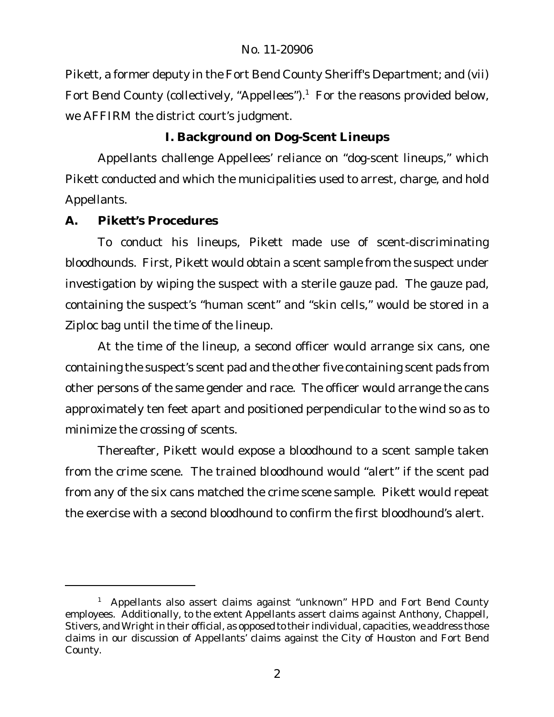Pikett, a former deputy in the Fort Bend County Sheriff's Department; and (vii) Fort Bend County (collectively, "Appellees"). $1$  For the reasons provided below, we AFFIRM the district court's judgment.

**I. Background on Dog-Scent Lineups**

Appellants challenge Appellees' reliance on "dog-scent lineups," which Pikett conducted and which the municipalities used to arrest, charge, and hold Appellants.

**A. Pikett's Procedures**

To conduct his lineups, Pikett made use of scent-discriminating bloodhounds. First, Pikett would obtain a scent sample from the suspect under investigation by wiping the suspect with a sterile gauze pad. The gauze pad, containing the suspect's "human scent" and "skin cells," would be stored in a Ziploc bag until the time of the lineup.

At the time of the lineup, a second officer would arrange six cans, one containing the suspect's scent pad and the other five containing scent pads from other persons of the same gender and race. The officer would arrange the cans approximately ten feet apart and positioned perpendicular to the wind so as to minimize the crossing of scents.

Thereafter, Pikett would expose a bloodhound to a scent sample taken from the crime scene. The trained bloodhound would "alert" if the scent pad from any of the six cans matched the crime scene sample. Pikett would repeat the exercise with a second bloodhound to confirm the first bloodhound's alert.

<sup>&</sup>lt;sup>1</sup> Appellants also assert claims against "unknown" HPD and Fort Bend County employees. Additionally, to the extent Appellants assert claims against Anthony, Chappell, Stivers, and Wright in their official, as opposed to their individual, capacities, we address those claims in our discussion of Appellants' claims against the City of Houston and Fort Bend County.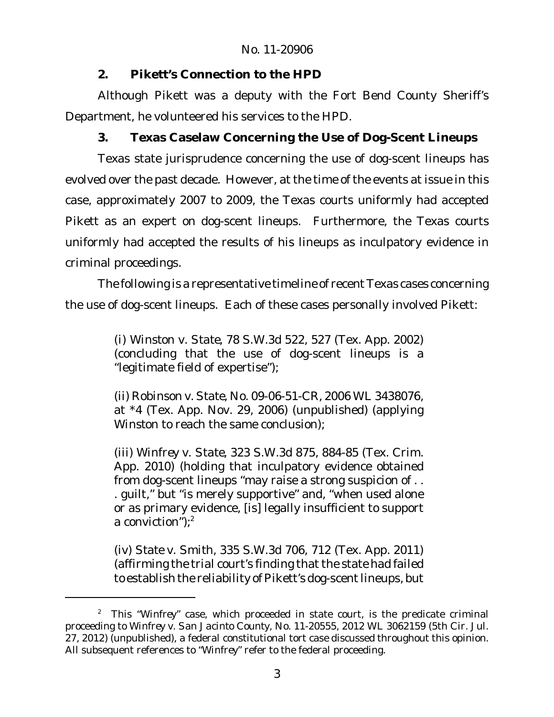**2. Pikett's Connection to the HPD**

Although Pikett was a deputy with the Fort Bend County Sheriff's Department, he volunteered his services to the HPD.

**3. Texas Caselaw Concerning the Use of Dog-Scent Lineups**

Texas state jurisprudence concerning the use of dog-scent lineups has evolved over the past decade. However, at the time of the events at issue in this case, approximately 2007 to 2009, the Texas courts uniformly had accepted Pikett as an expert on dog-scent lineups. Furthermore, the Texas courts uniformly had accepted the results of his lineups as inculpatory evidence in criminal proceedings.

The following is a representative timeline of recent Texas cases concerning the use of dog-scent lineups. Each of these cases personally involved Pikett:

> (i) *Winston v. State*, 78 S.W.3d 522, 527 (Tex. App. 2002) (concluding that the use of dog-scent lineups is a "legitimate field of expertise");

> (ii) *Robinson v. State*, No. 09-06-51-CR, 2006 WL 3438076, at \*4 (Tex. App. Nov. 29, 2006) (unpublished) (applying *Winston* to reach the same conclusion);

> (iii) *Winfrey v. State*, 323 S.W.3d 875, 884-85 (Tex. Crim. App. 2010) (holding that inculpatory evidence obtained from dog-scent lineups "may raise a strong suspicion of . . . guilt," but "is merely supportive" and, "when used alone or as primary evidence, [is] legally insufficient to support a conviction"); $^2$

> (iv) *State v. Smith*, 335 S.W.3d 706, 712 (Tex. App. 2011) (affirming the trial court's finding that the state had failed to establish the reliability of Pikett's dog-scent lineups, but

<sup>2</sup> This "*Winfrey*" case, which proceeded in state court, is the predicate criminal proceeding to *Winfrey v. San Jacinto County*, No. 11-20555, 2012 WL 3062159 (5th Cir. Jul. 27, 2012) (unpublished), a federal constitutional tort case discussed throughout this opinion. All subsequent references to "*Winfrey*" refer to the federal proceeding.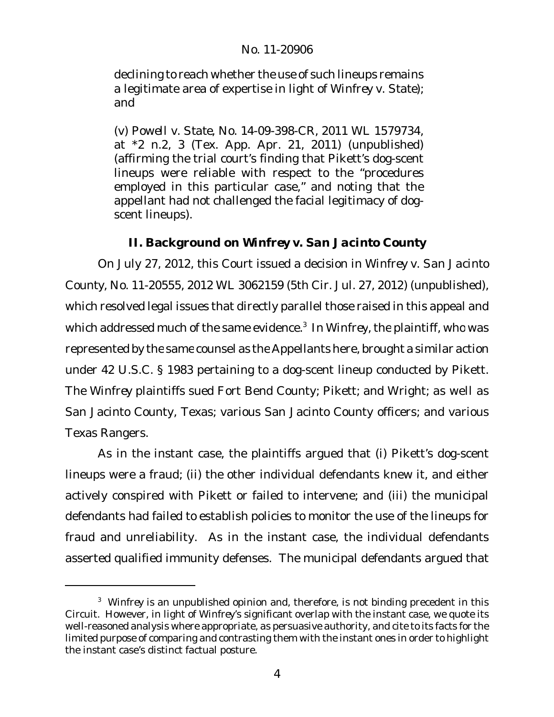declining to reach whether the use of such lineups remains a legitimate area of expertise in light of *Winfrey v. State*); and

(v) *Powell v. State*, No. 14-09-398-CR, 2011 WL 1579734, at \*2 n.2, 3 (Tex. App. Apr. 21, 2011) (unpublished) (affirming the trial court's finding that Pikett's dog-scent lineups were reliable with respect to the "procedures employed in this particular case," and noting that the appellant had not challenged the facial legitimacy of dogscent lineups).

**II. Background on** *Winfrey v. San Jacinto County*

On July 27, 2012, this Court issued a decision in *Winfrey v. San Jacinto County*, No. 11-20555, 2012 WL 3062159 (5th Cir. Jul. 27, 2012) (unpublished), which resolved legal issues that directly parallel those raised in this appeal and which addressed much of the same evidence.<sup>3</sup> In Winfrey, the plaintiff, who was represented by the same counsel as the Appellants here, brought a similar action under 42 U.S.C. § 1983 pertaining to a dog-scent lineup conducted by Pikett. The *Winfrey* plaintiffs sued Fort Bend County; Pikett; and Wright; as well as San Jacinto County, Texas; various San Jacinto County officers; and various Texas Rangers.

As in the instant case, the plaintiffs argued that (i) Pikett's dog-scent lineups were a fraud; (ii) the other individual defendants knew it, and either actively conspired with Pikett or failed to intervene; and (iii) the municipal defendants had failed to establish policies to monitor the use of the lineups for fraud and unreliability. As in the instant case, the individual defendants asserted qualified immunity defenses. The municipal defendants argued that

<sup>3</sup> *Winfrey* is an unpublished opinion and, therefore, is not binding precedent in this Circuit. However, in light of *Winfrey*'s significant overlap with the instant case, we quote its well-reasoned analysis where appropriate, as persuasive authority, and cite to its facts for the limited purpose of comparing and contrasting them with the instant ones in order to highlight the instant case's distinct factual posture.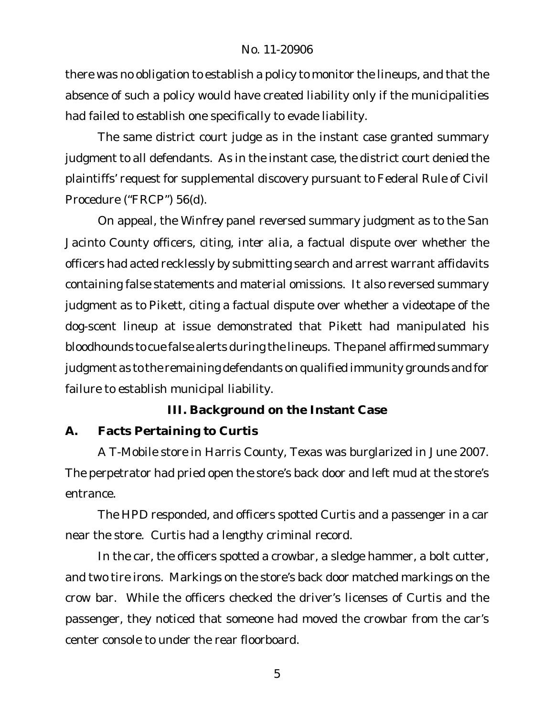there was no obligation to establish a policy to monitor the lineups, and that the absence of such a policy would have created liability only if the municipalities had failed to establish one specifically to evade liability.

The same district court judge as in the instant case granted summary judgment to all defendants. As in the instant case, the district court denied the plaintiffs' request for supplemental discovery pursuant to Federal Rule of Civil Procedure ("FRCP") 56(d).

On appeal, the *Winfrey* panel reversed summary judgment as to the San Jacinto County officers, citing, *inter alia*, a factual dispute over whether the officers had acted recklessly by submitting search and arrest warrant affidavits containing false statements and material omissions. It also reversed summary judgment as to Pikett, citing a factual dispute over whether a videotape of the dog-scent lineup at issue demonstrated that Pikett had manipulated his bloodhounds to cue false alerts during the lineups. The panel affirmed summary judgment as to the remaining defendants on qualified immunity grounds and for failure to establish municipal liability.

**III. Background on the Instant Case**

**A. Facts Pertaining to Curtis**

A T-Mobile store in Harris County, Texas was burglarized in June 2007. The perpetrator had pried open the store's back door and left mud at the store's entrance.

The HPD responded, and officers spotted Curtis and a passenger in a car near the store. Curtis had a lengthy criminal record.

In the car, the officers spotted a crowbar, a sledge hammer, a bolt cutter, and two tire irons. Markings on the store's back door matched markings on the crow bar. While the officers checked the driver's licenses of Curtis and the passenger, they noticed that someone had moved the crowbar from the car's center console to under the rear floorboard.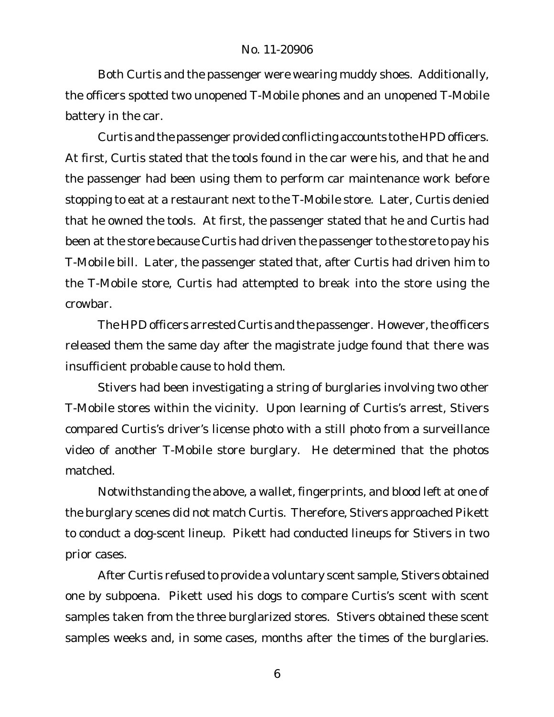Both Curtis and the passenger were wearing muddy shoes. Additionally, the officers spotted two unopened T-Mobile phones and an unopened T-Mobile battery in the car.

Curtis and the passenger provided conflicting accounts to the HPD officers. At first, Curtis stated that the tools found in the car were his, and that he and the passenger had been using them to perform car maintenance work before stopping to eat at a restaurant next to the T-Mobile store. Later, Curtis denied that he owned the tools. At first, the passenger stated that he and Curtis had been at the store because Curtis had driven the passenger to the store to pay his T-Mobile bill. Later, the passenger stated that, after Curtis had driven him to the T-Mobile store, Curtis had attempted to break into the store using the crowbar.

The HPD officers arrested Curtis and the passenger. However, the officers released them the same day after the magistrate judge found that there was insufficient probable cause to hold them.

Stivers had been investigating a string of burglaries involving two other T-Mobile stores within the vicinity. Upon learning of Curtis's arrest, Stivers compared Curtis's driver's license photo with a still photo from a surveillance video of another T-Mobile store burglary. He determined that the photos matched.

Notwithstanding the above, a wallet, fingerprints, and blood left at one of the burglary scenes did not match Curtis. Therefore, Stivers approached Pikett to conduct a dog-scent lineup. Pikett had conducted lineups for Stivers in two prior cases.

After Curtis refused to provide a voluntary scent sample, Stivers obtained one by subpoena. Pikett used his dogs to compare Curtis's scent with scent samples taken from the three burglarized stores. Stivers obtained these scent samples weeks and, in some cases, months after the times of the burglaries.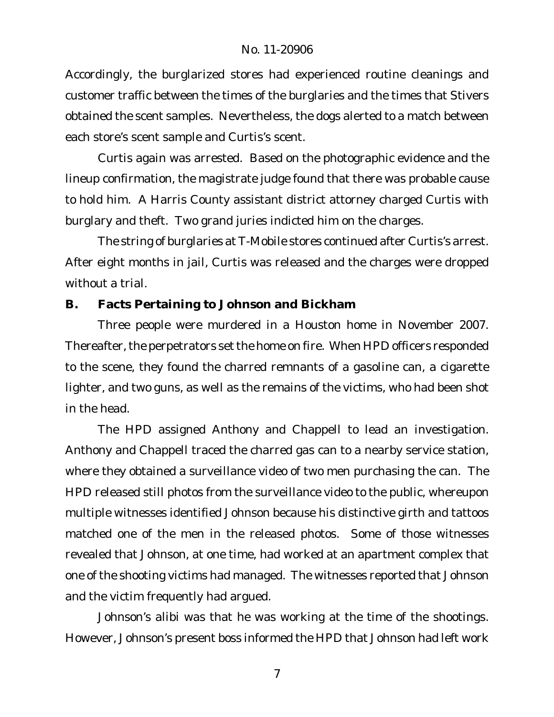Accordingly, the burglarized stores had experienced routine cleanings and customer traffic between the times of the burglaries and the times that Stivers obtained the scent samples. Nevertheless, the dogs alerted to a match between each store's scent sample and Curtis's scent.

Curtis again was arrested. Based on the photographic evidence and the lineup confirmation, the magistrate judge found that there was probable cause to hold him. A Harris County assistant district attorney charged Curtis with burglary and theft. Two grand juries indicted him on the charges.

The string of burglaries at T-Mobile stores continued after Curtis's arrest. After eight months in jail, Curtis was released and the charges were dropped without a trial.

**B. Facts Pertaining to Johnson and Bickham**

Three people were murdered in a Houston home in November 2007. Thereafter, the perpetrators set the home on fire. When HPD officers responded to the scene, they found the charred remnants of a gasoline can, a cigarette lighter, and two guns, as well as the remains of the victims, who had been shot in the head.

The HPD assigned Anthony and Chappell to lead an investigation. Anthony and Chappell traced the charred gas can to a nearby service station, where they obtained a surveillance video of two men purchasing the can. The HPD released still photos from the surveillance video to the public, whereupon multiple witnesses identified Johnson because his distinctive girth and tattoos matched one of the men in the released photos. Some of those witnesses revealed that Johnson, at one time, had worked at an apartment complex that one of the shooting victims had managed. The witnesses reported that Johnson and the victim frequently had argued.

Johnson's alibi was that he was working at the time of the shootings. However, Johnson's present boss informed the HPD that Johnson had left work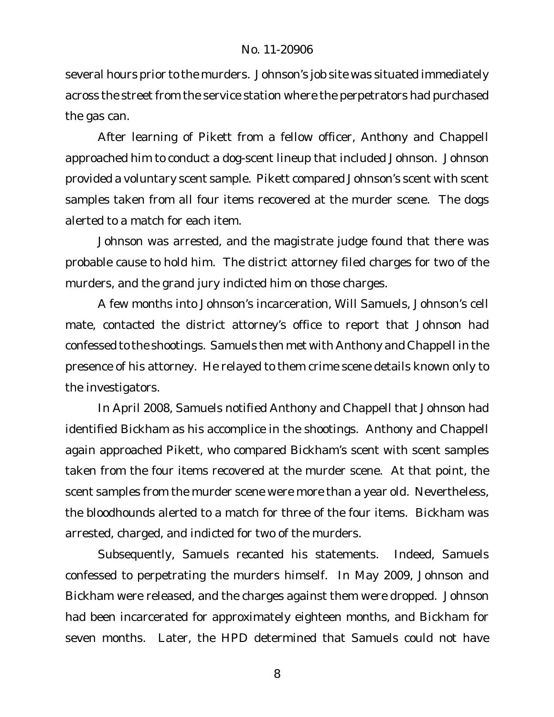several hours prior to the murders. Johnson's job site was situated immediately across the street from the service station where the perpetrators had purchased the gas can.

After learning of Pikett from a fellow officer, Anthony and Chappell approached him to conduct a dog-scent lineup that included Johnson. Johnson provided a voluntary scent sample. Pikett compared Johnson's scent with scent samples taken from all four items recovered at the murder scene. The dogs alerted to a match for each item.

Johnson was arrested, and the magistrate judge found that there was probable cause to hold him. The district attorney filed charges for two of the murders, and the grand jury indicted him on those charges.

A few months into Johnson's incarceration, Will Samuels, Johnson's cell mate, contacted the district attorney's office to report that Johnson had confessed to the shootings. Samuels then met with Anthony and Chappell in the presence of his attorney. He relayed to them crime scene details known only to the investigators.

In April 2008, Samuels notified Anthony and Chappell that Johnson had identified Bickham as his accomplice in the shootings. Anthony and Chappell again approached Pikett, who compared Bickham's scent with scent samples taken from the four items recovered at the murder scene. At that point, the scent samples from the murder scene were more than a year old. Nevertheless, the bloodhounds alerted to a match for three of the four items. Bickham was arrested, charged, and indicted for two of the murders.

Subsequently, Samuels recanted his statements. Indeed, Samuels confessed to perpetrating the murders himself. In May 2009, Johnson and Bickham were released, and the charges against them were dropped. Johnson had been incarcerated for approximately eighteen months, and Bickham for seven months. Later, the HPD determined that Samuels could not have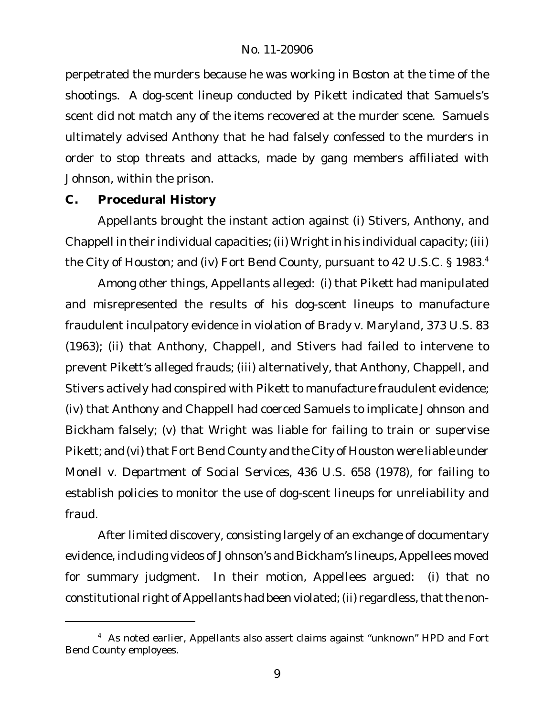perpetrated the murders because he was working in Boston at the time of the shootings. A dog-scent lineup conducted by Pikett indicated that Samuels's scent did not match any of the items recovered at the murder scene. Samuels ultimately advised Anthony that he had falsely confessed to the murders in order to stop threats and attacks, made by gang members affiliated with Johnson, within the prison.

**C. Procedural History**

Appellants brought the instant action against (i) Stivers, Anthony, and Chappell in their individual capacities; (ii) Wright in his individual capacity; (iii) the City of Houston; and (iv) Fort Bend County, pursuant to 42 U.S.C. § 1983.<sup>4</sup>

Among other things, Appellants alleged: (i) that Pikett had manipulated and misrepresented the results of his dog-scent lineups to manufacture fraudulent inculpatory evidence in violation of *Brady v. Maryland*, 373 U.S. 83 (1963); (ii) that Anthony, Chappell, and Stivers had failed to intervene to prevent Pikett's alleged frauds; (iii) alternatively, that Anthony, Chappell, and Stivers actively had conspired with Pikett to manufacture fraudulent evidence; (iv) that Anthony and Chappell had coerced Samuels to implicate Johnson and Bickham falsely; (v) that Wright was liable for failing to train or supervise Pikett; and (vi) that Fort Bend County and the City of Houston were liable under *Monell v. Department of Social Services*, 436 U.S. 658 (1978), for failing to establish policies to monitor the use of dog-scent lineups for unreliability and fraud.

After limited discovery, consisting largely of an exchange of documentary evidence, including videos of Johnson's and Bickham's lineups, Appellees moved for summary judgment. In their motion, Appellees argued: (i) that no constitutional right of Appellants had been violated; (ii) regardless, that the non-

<sup>&</sup>lt;sup>4</sup> As noted earlier, Appellants also assert claims against "unknown" HPD and Fort Bend County employees.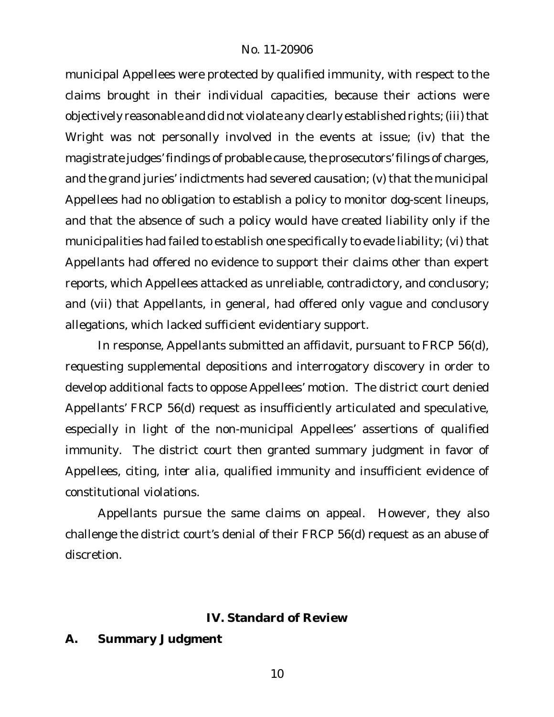municipal Appellees were protected by qualified immunity, with respect to the claims brought in their individual capacities, because their actions were objectively reasonable and did not violate any clearly established rights; (iii) that Wright was not personally involved in the events at issue; (iv) that the magistrate judges' findings of probable cause, the prosecutors' filings of charges, and the grand juries' indictments had severed causation; (v) that the municipal Appellees had no obligation to establish a policy to monitor dog-scent lineups, and that the absence of such a policy would have created liability only if the municipalities had failed to establish one specifically to evade liability; (vi) that Appellants had offered no evidence to support their claims other than expert reports, which Appellees attacked as unreliable, contradictory, and conclusory; and (vii) that Appellants, in general, had offered only vague and conclusory allegations, which lacked sufficient evidentiary support.

In response, Appellants submitted an affidavit, pursuant to FRCP 56(d), requesting supplemental depositions and interrogatory discovery in order to develop additional facts to oppose Appellees' motion. The district court denied Appellants' FRCP 56(d) request as insufficiently articulated and speculative, especially in light of the non-municipal Appellees' assertions of qualified immunity. The district court then granted summary judgment in favor of Appellees, citing, *inter alia*, qualified immunity and insufficient evidence of constitutional violations.

Appellants pursue the same claims on appeal. However, they also challenge the district court's denial of their FRCP 56(d) request as an abuse of discretion.

## **IV. Standard of Review**

**A. Summary Judgment**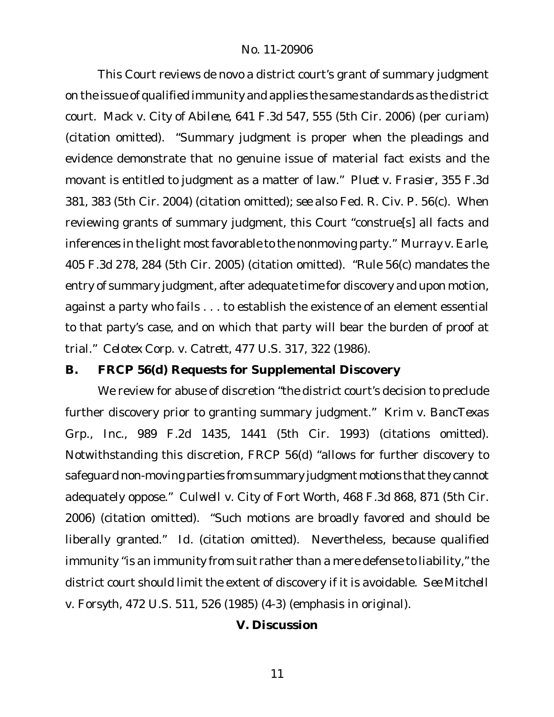This Court reviews de novo a district court's grant of summary judgment on the issue of qualified immunity and applies the same standards as the district court. *Mack v. City of Abilene*, 641 F.3d 547, 555 (5th Cir. 2006) (per curiam) (citation omitted). "Summary judgment is proper when the pleadings and evidence demonstrate that no genuine issue of material fact exists and the movant is entitled to judgment as a matter of law." *Pluet v. Frasier*, 355 F.3d 381, 383 (5th Cir. 2004) (citation omitted); *see also* Fed. R. Civ. P. 56(c). When reviewing grants of summary judgment, this Court "construe[s] all facts and inferences in the light most favorable to the nonmoving party." Murray v. Earle, 405 F.3d 278, 284 (5th Cir. 2005) (citation omitted). "Rule 56(c) mandates the entry of summary judgment, after adequate time for discovery and upon motion, against a party who fails . . . to establish the existence of an element essential to that party's case, and on which that party will bear the burden of proof at trial." *Celotex Corp. v. Catrett*, 477 U.S. 317, 322 (1986).

**B. FRCP 56(d) Requests for Supplemental Discovery**

We review for abuse of discretion "the district court's decision to preclude further discovery prior to granting summary judgment." *Krim v. BancTexas Grp., Inc.*, 989 F.2d 1435, 1441 (5th Cir. 1993) (citations omitted). Notwithstanding this discretion, FRCP 56(d) "allows for further discovery to safeguard non-moving parties from summary judgment motions that they cannot adequately oppose." *Culwell v. City of Fort Worth*, 468 F.3d 868, 871 (5th Cir. 2006) (citation omitted). "Such motions are broadly favored and should be liberally granted." *Id.* (citation omitted). Nevertheless, because qualified immunity "is an *immunity from suit* rather than a mere defense to liability," the district court should limit the extent of discovery if it is avoidable. *See Mitchell v. Forsyth*, 472 U.S. 511, 526 (1985) (4-3) (emphasis in original).

**V. Discussion**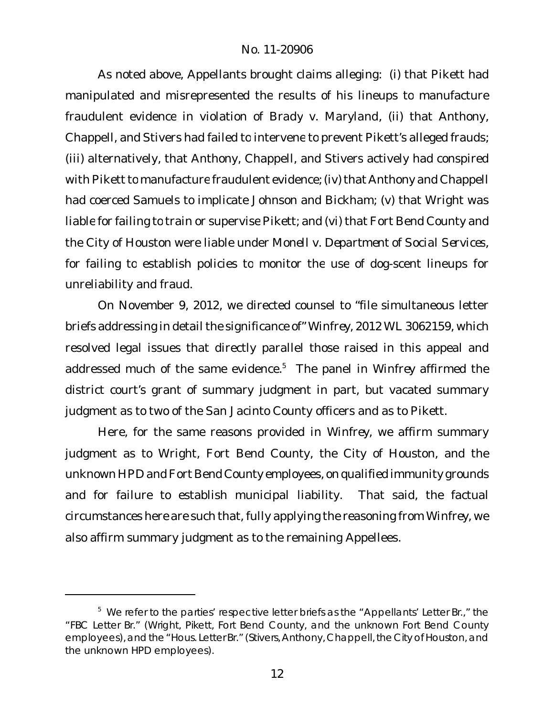As noted above, Appellants brought claims alleging: (i) that Pikett had manipulated and misrepresented the results of his lineups to manufacture fraudulent evidence in violation of *Brady v. Maryland*, (ii) that Anthony, Chappell, and Stivers had failed to intervene to prevent Pikett's alleged frauds; (iii) alternatively, that Anthony, Chappell, and Stivers actively had conspired with Pikett to manufacture fraudulent evidence; (iv) that Anthony and Chappell had coerced Samuels to implicate Johnson and Bickham; (v) that Wright was liable for failing to train or supervise Pikett; and (vi) that Fort Bend County and the City of Houston were liable under *Monell v. Department of Social Services*, for failing to establish policies to monitor the use of dog-scent lineups for unreliability and fraud.

On November 9, 2012, we directed counsel to "file simultaneous letter briefs addressing in detail the significance of" Winfrey, 2012 WL 3062159, which resolved legal issues that directly parallel those raised in this appeal and addressed much of the same evidence.<sup>5</sup> The panel in *Winfrey* affirmed the district court's grant of summary judgment in part, but vacated summary judgment as to two of the San Jacinto County officers and as to Pikett.

Here, for the same reasons provided in *Winfrey*, we affirm summary judgment as to Wright, Fort Bend County, the City of Houston, and the unknown HPD andFort Bend County employees, on qualified immunity grounds and for failure to establish municipal liability. That said, the factual circumstances here are such that, fully applying the reasoning from *Winfrey*, we also affirm summary judgment as to the remaining Appellees.

<sup>&</sup>lt;sup>5</sup> We refer to the parties' respective letter briefs as the "Appellants' Letter Br.," the "FBC Letter Br." (Wright, Pikett, Fort Bend County, and the unknown Fort Bend County employees), and the "Hous. Letter Br." (Stivers, Anthony, Chappell, the City of Houston, and the unknown HPD employees).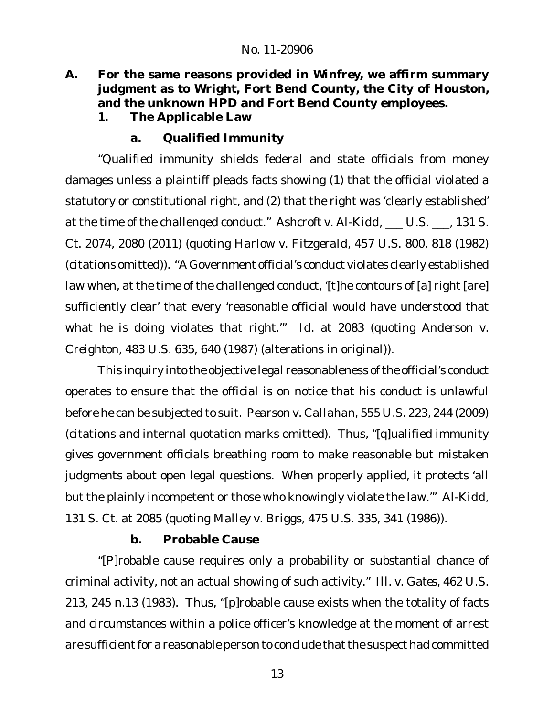- **A. For the same reasons provided in** *Winfrey***, we affirm summary judgment as to Wright, Fort Bend County, the City of Houston, and the unknown HPD and Fort Bend County employees.**
	- **1. The Applicable Law**
		- **a. Qualified Immunity**

"Qualified immunity shields federal and state officials from money damages unless a plaintiff pleads facts showing (1) that the official violated a statutory or constitutional right, and (2) that the right was 'clearly established' at the time of the challenged conduct." *Ashcroft v. Al-Kidd*, \_\_\_ U.S. \_\_\_, 131 S. Ct. 2074, 2080 (2011) (quoting *Harlow v. Fitzgerald*, 457 U.S. 800, 818 (1982) (citations omitted)). "A Government official's conduct violates clearly established law when, at the time of the challenged conduct, '[t]he contours of [a] right [are] sufficiently clear' that every 'reasonable official would have understood that what he is doing violates that right.'" *Id.* at 2083 (quoting *Anderson v. Creighton*, 483 U.S. 635, 640 (1987) (alterations in original)).

This inquiry into the objective legal reasonableness of the official's conduct operates to ensure that the official is on notice that his conduct is unlawful before he can be subjected to suit. *Pearson v. Callahan*, 555 U.S. 223, 244 (2009) (citations and internal quotation marks omitted). Thus, "[q]ualified immunity gives government officials breathing room to make reasonable but mistaken judgments about open legal questions. When properly applied, it protects 'all but the plainly incompetent or those who knowingly violate the law.'" *Al-Kidd*, 131 S. Ct. at 2085 (quoting *Malley v. Briggs*, 475 U.S. 335, 341 (1986)).

## **b. Probable Cause**

"[P]robable cause requires only a probability or substantial chance of criminal activity, not an actual showing of such activity." *Ill. v. Gates*, 462 U.S. 213, 245 n.13 (1983). Thus, "[p]robable cause exists when the totality of facts and circumstances within a police officer's knowledge at the moment of arrest are sufficient for a reasonable person to conclude that the suspect had committed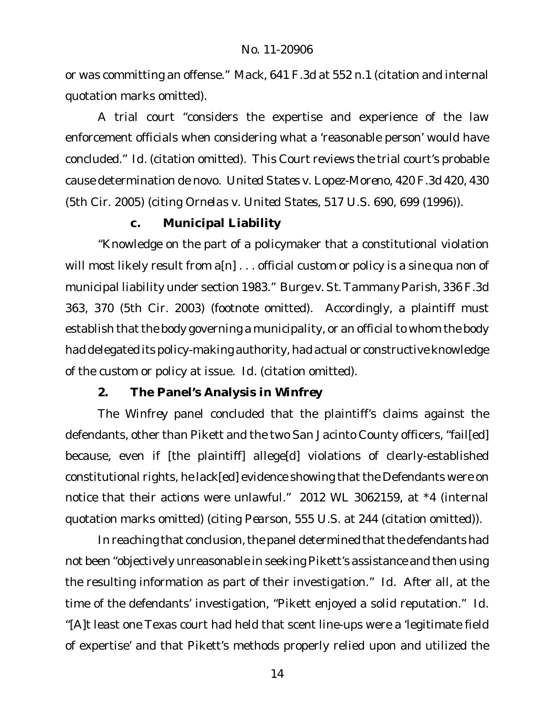or was committing an offense." *Mack*, 641 F.3d at 552 n.1 (citation and internal quotation marks omitted).

A trial court "considers the expertise and experience of the law enforcement officials when considering what a 'reasonable person' would have concluded." *Id.* (citation omitted). This Court reviews the trial court's probable cause determination de novo. *United States v. Lopez-Moreno*, 420 F.3d 420, 430 (5th Cir. 2005) (citing *Ornelas v. United States*, 517 U.S. 690, 699 (1996)).

#### **c. Municipal Liability**

"Knowledge on the part of a policymaker that a constitutional violation will most likely result from a[n] . . . official custom or policy is a *sine qua non* of municipal liability under section 1983." *Burge v. St. Tammany Parish*, 336 F.3d 363, 370 (5th Cir. 2003) (footnote omitted). Accordingly, a plaintiff must establish that the body governing a municipality, or an official to whom the body had delegated its policy-making authority, had actual or constructive knowledge of the custom or policy at issue. *Id.* (citation omitted).

#### **2. The Panel's Analysis in** *Winfrey*

The *Winfrey* panel concluded that the plaintiff's claims against the defendants, other than Pikett and the two San Jacinto County officers, "fail[ed] because, even if [the plaintiff] allege[d] violations of clearly-established constitutional rights, he lack[ed] evidence showing that the Defendants were on notice that their actions were unlawful." 2012 WL 3062159, at \*4 (internal quotation marks omitted) (citing *Pearson*, 555 U.S. at 244 (citation omitted)).

In reaching that conclusion, the panel determined that the defendants had not been "objectively unreasonable in seeking Pikett's assistance and then using the resulting information as part of their investigation." *Id.* After all, at the time of the defendants' investigation, "Pikett enjoyed a solid reputation." *Id.* "[A]t least one Texas court had held that scent line-ups were a 'legitimate field of expertise' and that Pikett's methods properly relied upon and utilized the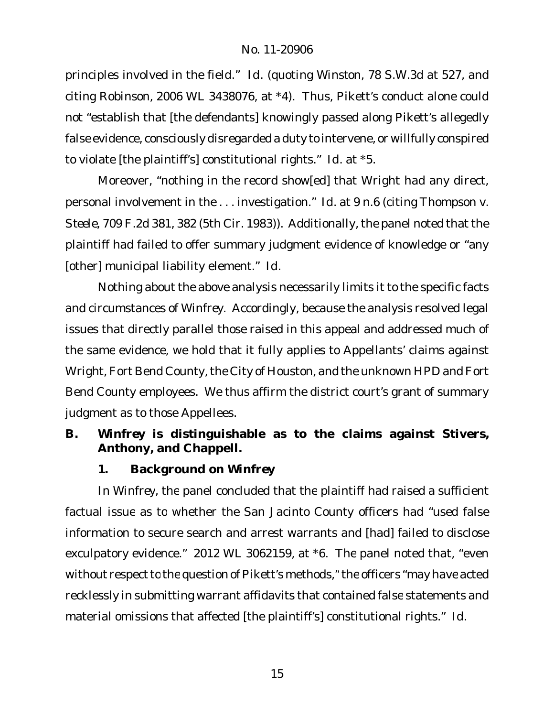principles involved in the field." *Id.* (quoting *Winston*, 78 S.W.3d at 527, and citing *Robinson*, 2006 WL 3438076, at \*4). Thus, Pikett's conduct alone could not "establish that [the defendants] knowingly passed along Pikett's allegedly false evidence, consciously disregarded a duty to intervene, or willfully conspired to violate [the plaintiff's] constitutional rights." *Id.* at \*5.

Moreover, "nothing in the record show[ed] that Wright had any direct, personal involvement in the . . . investigation." *Id.* at 9 n.6 (citing *Thompson v. Steele*, 709 F.2d 381, 382 (5th Cir. 1983)). Additionally, the panel noted that the plaintiff had failed to offer summary judgment evidence of knowledge or "any [other] municipal liability element." *Id.*

Nothing about the above analysis necessarily limits it to the specific facts and circumstances of *Winfrey*. Accordingly, because the analysis resolved legal issues that directly parallel those raised in this appeal and addressed much of the same evidence, we hold that it fully applies to Appellants' claims against Wright, Fort Bend County, the City of Houston, and the unknown HPD and Fort Bend County employees. We thus affirm the district court's grant of summary judgment as to those Appellees.

- **B.** *Winfrey* **is distinguishable as to the claims against Stivers, Anthony, and Chappell.**
	- **1. Background on** *Winfrey*

In *Winfrey*, the panel concluded that the plaintiff had raised a sufficient factual issue as to whether the San Jacinto County officers had "used false information to secure search and arrest warrants and [had] failed to disclose exculpatory evidence." 2012 WL 3062159, at \*6. The panel noted that, "even without respect to the question of Pikett's methods," the officers "may have acted recklessly in submitting warrant affidavits that contained false statements and material omissions that affected [the plaintiff's] constitutional rights." *Id.*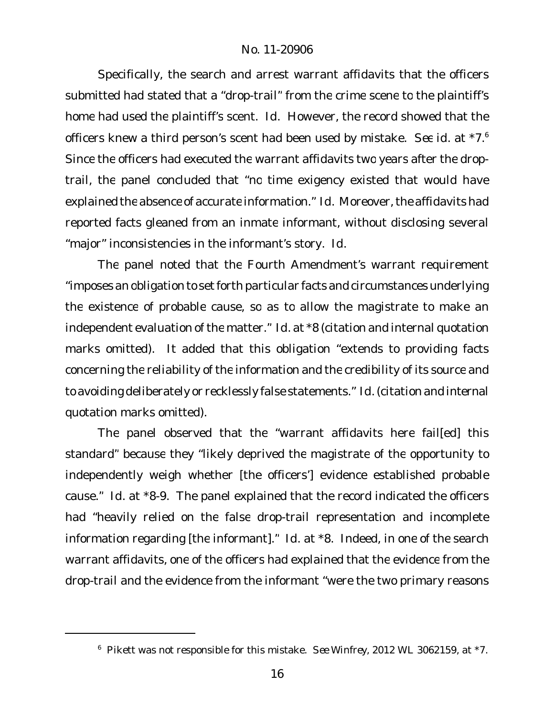Specifically, the search and arrest warrant affidavits that the officers submitted had stated that a "drop-trail" from the crime scene to the plaintiff's home had used the plaintiff's scent. *Id.* However, the record showed that the officers knew a third person's scent had been used by mistake. *See id.* at \*7.<sup>6</sup> Since the officers had executed the warrant affidavits two years after the droptrail, the panel concluded that "no time exigency existed that would have explained the absence of accurate information." *Id.* Moreover, the affidavits had reported facts gleaned from an inmate informant, without disclosing several "major" inconsistencies in the informant's story. *Id.*

The panel noted that the Fourth Amendment's warrant requirement "imposes an obligation to set forth particular facts and circumstances underlying the existence of probable cause, so as to allow the magistrate to make an independent evaluation of the matter." *Id.* at \*8 (citation and internal quotation marks omitted). It added that this obligation "extends to providing facts concerning the reliability of the information and the credibility of its source and to avoiding deliberately or recklessly false statements." *Id.*(citation and internal quotation marks omitted).

The panel observed that the "warrant affidavits here fail[ed] this standard" because they "likely deprived the magistrate of the opportunity to independently weigh whether [the officers'] evidence established probable cause." *Id.* at \*8-9. The panel explained that the record indicated the officers had "heavily relied on the false drop-trail representation and incomplete information regarding [the informant]." *Id.* at \*8. Indeed, in one of the search warrant affidavits, one of the officers had explained that the evidence from the drop-trail and the evidence from the informant "were the two primary reasons

<sup>6</sup> Pikett was not responsible for this mistake. *See Winfrey*, 2012 WL 3062159, at \*7.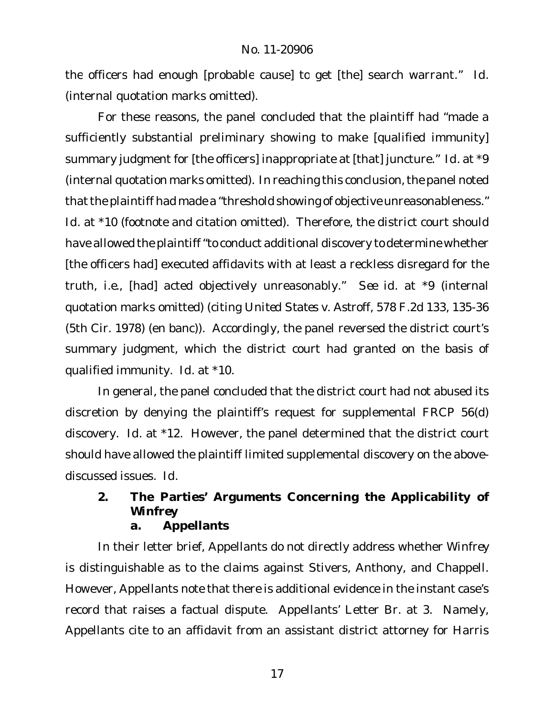the officers had enough [probable cause] to get [the] search warrant." *Id.* (internal quotation marks omitted).

For these reasons, the panel concluded that the plaintiff had "made a sufficiently substantial preliminary showing to make [qualified immunity] summary judgment for [the officers] inappropriate at [that] juncture." *Id.* at \*9 (internal quotation marks omitted). In reaching this conclusion, the panel noted that the plaintiff had made a "threshold showing of objective unreasonableness." *Id.* at \*10 (footnote and citation omitted). Therefore, the district court should have allowed the plaintiff"to conduct additional discovery to determine whether [the officers had] executed affidavits with at least a reckless disregard for the truth, *i.e.*, [had] acted objectively unreasonably." *See id.* at \*9 (internal quotation marks omitted) (citing *United States v. Astroff*, 578 F.2d 133, 135-36 (5th Cir. 1978) (en banc)). Accordingly, the panel reversed the district court's summary judgment, which the district court had granted on the basis of qualified immunity. *Id.* at \*10.

In general, the panel concluded that the district court had not abused its discretion by denying the plaintiff's request for supplemental FRCP 56(d) discovery. *Id.* at \*12. However, the panel determined that the district court should have allowed the plaintiff limited supplemental discovery on the abovediscussed issues. *Id.*

**2. The Parties' Arguments Concerning the Applicability of** *Winfrey*

**a. Appellants**

In their letter brief, Appellants do not directly address whether *Winfrey* is distinguishable as to the claims against Stivers, Anthony, and Chappell. However, Appellants note that there is additional evidence in the instant case's record that raises a factual dispute. Appellants' Letter Br. at 3. Namely, Appellants cite to an affidavit from an assistant district attorney for Harris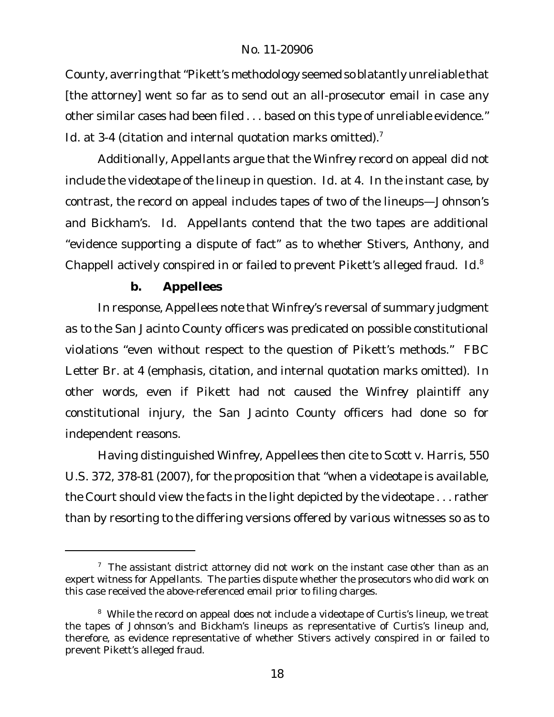County, averring that"Pikett's methodology seemed so blatantly unreliable that [the attorney] went so far as to send out an all-prosecutor email in case any other similar cases had been filed . . . based on this type of unreliable evidence." Id. at 3-4 (citation and internal quotation marks omitted).<sup>7</sup>

Additionally, Appellants argue that the *Winfrey* record on appeal did not include the videotape of the lineup in question. *Id.* at 4. In the instant case, by contrast, the record on appeal includes tapes of two of the lineups—Johnson's and Bickham's. *Id.* Appellants contend that the two tapes are additional "evidence supporting a dispute of fact" as to whether Stivers, Anthony, and Chappell actively conspired in or failed to prevent Pikett's alleged fraud. *Id.*<sup>8</sup>

**b. Appellees**

In response, Appellees note that *Winfrey*'s reversal of summary judgment as to the San Jacinto County officers was predicated on possible constitutional violations "even without respect to the question of Pikett's methods." FBC Letter Br. at 4 (emphasis, citation, and internal quotation marks omitted). In other words, even if Pikett had not caused the *Winfrey* plaintiff any constitutional injury, the San Jacinto County officers had done so for independent reasons.

Having distinguished *Winfrey*, Appellees then cite to *Scott v. Harris*, 550 U.S. 372, 378-81 (2007), for the proposition that "when a videotape is available, the Court should view the facts in the light depicted by the videotape . . . rather than by resorting to the differing versions offered by various witnesses so as to

 $7$  The assistant district attorney did not work on the instant case other than as an expert witness for Appellants. The parties dispute whether the prosecutors who did work on this case received the above-referenced email prior to filing charges.

<sup>&</sup>lt;sup>8</sup> While the record on appeal does not include a videotape of Curtis's lineup, we treat the tapes of Johnson's and Bickham's lineups as representative of Curtis's lineup and, therefore, as evidence representative of whether Stivers actively conspired in or failed to prevent Pikett's alleged fraud.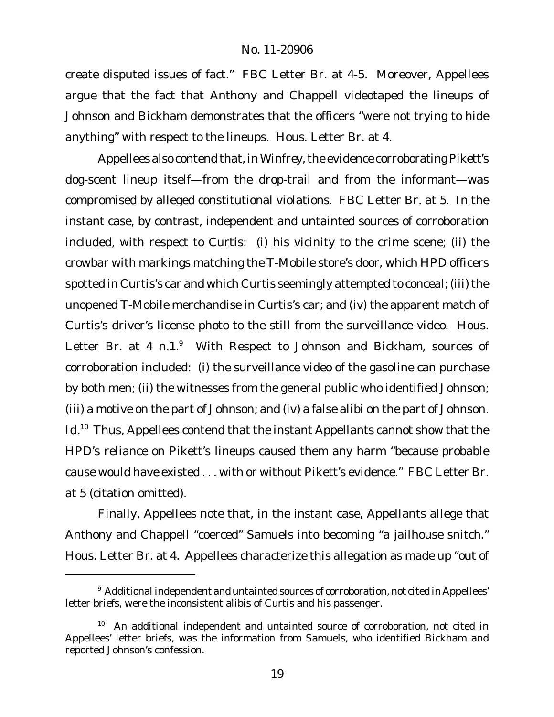create disputed issues of fact." FBC Letter Br. at 4-5. Moreover, Appellees argue that the fact that Anthony and Chappell videotaped the lineups of Johnson and Bickham demonstrates that the officers "were not trying to hide anything" with respect to the lineups. Hous. Letter Br. at 4.

Appellees also contend that, in *Winfrey*,the evidence corroborating Pikett's dog-scent lineup itself—from the drop-trail and from the informant—was compromised by alleged constitutional violations. FBC Letter Br. at 5. In the instant case, by contrast, independent and untainted sources of corroboration included, with respect to Curtis: (i) his vicinity to the crime scene; (ii) the crowbar with markings matching the T-Mobile store's door, which HPD officers spotted in Curtis's car and which Curtis seemingly attempted to conceal; (iii) the unopened T-Mobile merchandise in Curtis's car; and (iv) the apparent match of Curtis's driver's license photo to the still from the surveillance video. Hous. Letter Br. at 4 n.1.<sup>9</sup> With Respect to Johnson and Bickham, sources of corroboration included: (i) the surveillance video of the gasoline can purchase by both men; (ii) the witnesses from the general public who identified Johnson; (iii) a motive on the part of Johnson; and (iv) a false alibi on the part of Johnson. *Id.*<sup>10</sup> Thus, Appellees contend that the instant Appellants cannot show that the HPD's reliance on Pikett's lineups caused them any harm "because probable cause would have existed . . . with or without Pikett's evidence." FBC Letter Br. at 5 (citation omitted).

Finally, Appellees note that, in the instant case, Appellants allege that Anthony and Chappell "coerced" Samuels into becoming "a jailhouse snitch." Hous. Letter Br. at 4. Appellees characterize this allegation as made up "out of

<sup>&</sup>lt;sup>9</sup> Additional independent and untainted sources of corroboration, not cited in Appellees' letter briefs, were the inconsistent alibis of Curtis and his passenger.

 $10$  An additional independent and untainted source of corroboration, not cited in Appellees' letter briefs, was the information from Samuels, who identified Bickham and reported Johnson's confession.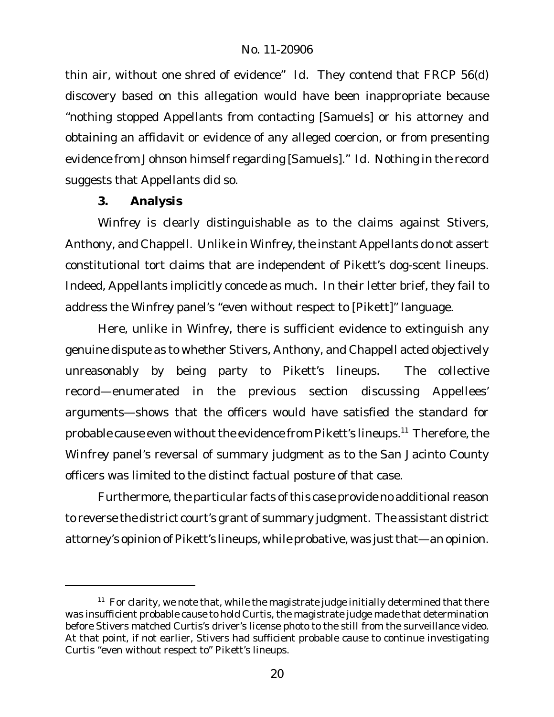thin air, without one shred of evidence" *Id.* They contend that FRCP 56(d) discovery based on this allegation would have been inappropriate because "nothing stopped Appellants from contacting [Samuels] or his attorney and obtaining an affidavit or evidence of any alleged coercion, or from presenting evidence from Johnson himself regarding [Samuels]." *Id.* Nothing in the record suggests that Appellants did so.

**3. Analysis**

*Winfrey* is clearly distinguishable as to the claims against Stivers, Anthony, and Chappell. Unlike in *Winfrey*, the instant Appellants do not assert constitutional tort claims that are independent of Pikett's dog-scent lineups. Indeed, Appellants implicitly concede as much. In their letter brief, they fail to address the *Winfrey* panel's "even without respect to [Pikett]" language.

Here, unlike in *Winfrey*, there is sufficient evidence to extinguish any genuine dispute as to whether Stivers, Anthony, and Chappell acted objectively unreasonably by being party to Pikett's lineups. The collective record—enumerated in the previous section discussing Appellees' arguments—shows that the officers would have satisfied the standard for probable cause even without the evidence from Pikett's lineups.<sup>11</sup> Therefore, the *Winfrey* panel's reversal of summary judgment as to the San Jacinto County officers was limited to the distinct factual posture of that case.

Furthermore, the particular facts of this case provide no additional reason to reverse the district court's grant of summary judgment. The assistant district attorney's opinion of Pikett's lineups, while probative, was just that—an opinion.

 $11$  For clarity, we note that, while the magistrate judge initially determined that there was insufficient probable cause to hold Curtis, the magistrate judge made that determination before Stivers matched Curtis's driver's license photo to the still from the surveillance video. At that point, if not earlier, Stivers had sufficient probable cause to continue investigating Curtis "even without respect to" Pikett's lineups.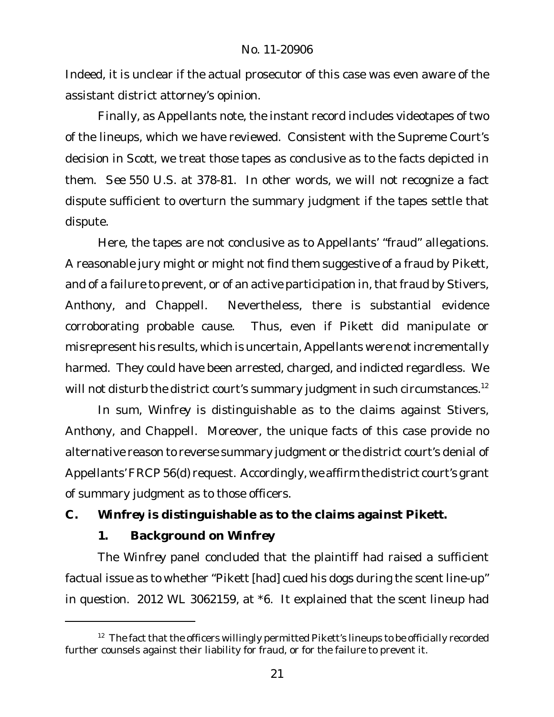Indeed, it is unclear if the actual prosecutor of this case was even aware of the assistant district attorney's opinion.

Finally, as Appellants note, the instant record includes videotapes of two of the lineups, which we have reviewed. Consistent with the Supreme Court's decision in *Scott*, we treat those tapes as conclusive as to the facts depicted in them. *See* 550 U.S. at 378-81. In other words, we will not recognize a fact dispute sufficient to overturn the summary judgment if the tapes settle that dispute.

Here, the tapes are not conclusive as to Appellants' "fraud" allegations. A reasonable jury might or might not find them suggestive of a fraud by Pikett, and of a failure to prevent, or of an active participation in, that fraud by Stivers, Anthony, and Chappell. Nevertheless, there is substantial evidence corroborating probable cause. Thus, even if Pikett did manipulate or misrepresent his results, which is uncertain, Appellants were not incrementally harmed. They could have been arrested, charged, and indicted regardless. We will not disturb the district court's summary judgment in such circumstances.<sup>12</sup>

In sum, *Winfrey* is distinguishable as to the claims against Stivers, Anthony, and Chappell. Moreover, the unique facts of this case provide no alternative reason to reverse summary judgment or the district court's denial of Appellants'FRCP56(d) request. Accordingly, we affirm the district court's grant of summary judgment as to those officers.

**C.** *Winfrey* **is distinguishable as to the claims against Pikett.**

**1. Background on** *Winfrey*

The *Winfrey* panel concluded that the plaintiff had raised a sufficient factual issue as to whether "Pikett [had] cued his dogs during the scent line-up" in question. 2012 WL 3062159, at \*6. It explained that the scent lineup had

 $12$  The fact that the officers willingly permitted Pikett's lineups to be officially recorded further counsels against their liability for fraud, or for the failure to prevent it.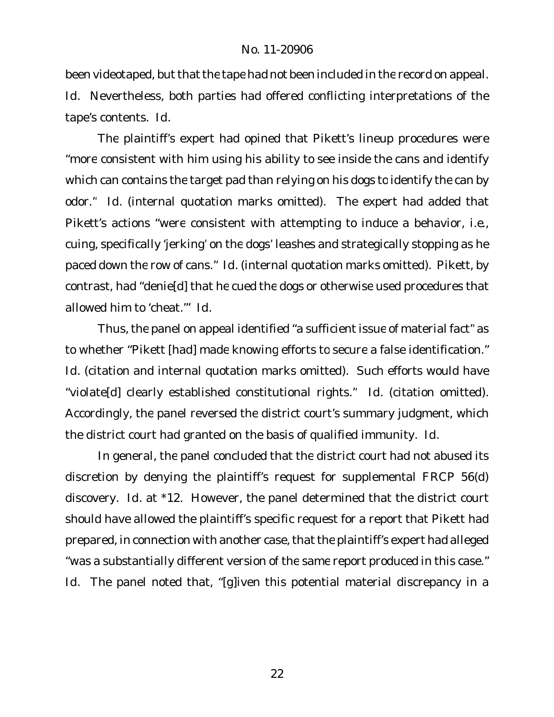been videotaped, but that the tape had not been included in the record on appeal. *Id.* Nevertheless, both parties had offered conflicting interpretations of the tape's contents. *Id.*

The plaintiff's expert had opined that Pikett's lineup procedures were "more consistent with him using his ability to see inside the cans and identify which can contains the target pad than relying on his dogs to identify the can by odor." *Id.* (internal quotation marks omitted). The expert had added that Pikett's actions "were consistent with attempting to induce a behavior, *i.e.*, cuing, specifically 'jerking' on the dogs' leashes and strategically stopping as he paced down the row of cans." *Id.* (internal quotation marks omitted). Pikett, by contrast, had "denie[d] that he cued the dogs or otherwise used procedures that allowed him to 'cheat.'" *Id.*

Thus, the panel on appeal identified "a sufficient issue of material fact" as to whether "Pikett [had] made knowing efforts to secure a false identification." *Id.* (citation and internal quotation marks omitted). Such efforts would have "violate[d] clearly established constitutional rights." *Id.* (citation omitted). Accordingly, the panel reversed the district court's summary judgment, which the district court had granted on the basis of qualified immunity. *Id.*

In general, the panel concluded that the district court had not abused its discretion by denying the plaintiff's request for supplemental FRCP 56(d) discovery. *Id.* at \*12. However, the panel determined that the district court should have allowed the plaintiff's specific request for a report that Pikett had prepared, in connection with another case, that the plaintiff's expert had alleged "was a substantially different version of the same report produced in this case." *Id.* The panel noted that, "[g]iven this potential material discrepancy in a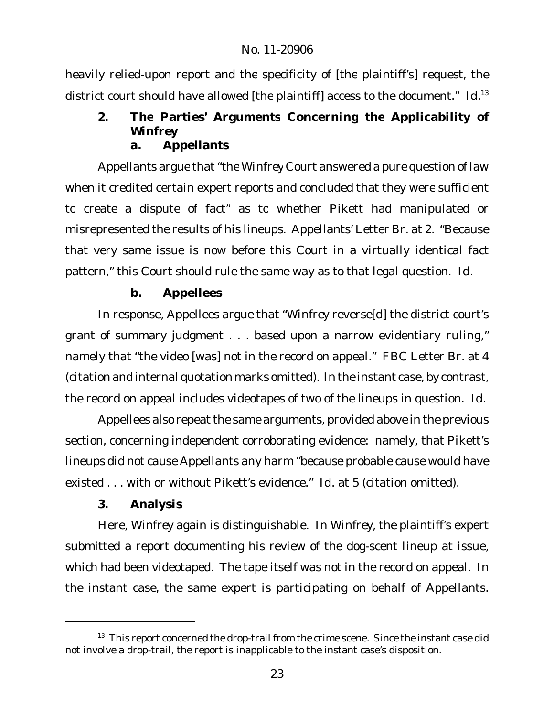heavily relied-upon report and the specificity of [the plaintiff's] request, the district court should have allowed [the plaintiff] access to the document." *Id.*<sup>13</sup>

**2. The Parties' Arguments Concerning the Applicability of** *Winfrey* **a. Appellants**

Appellants argue that"the *Winfrey* Court answered a pure question of law when it credited certain expert reports and concluded that they were sufficient to create a dispute of fact" as to whether Pikett had manipulated or misrepresented the results of his lineups. Appellants' Letter Br. at 2. "Because that very same issue is now before this Court in a virtually identical fact pattern," this Court should rule the same way as to that legal question. *Id.*

## **b. Appellees**

In response, Appellees argue that "*Winfrey* reverse[d] the district court's grant of summary judgment . . . based upon a narrow evidentiary ruling," namely that "the video [was] not in the record on appeal." FBC Letter Br. at 4 (citation and internal quotation marks omitted). In the instant case, by contrast, the record on appeal includes videotapes of two of the lineups in question. *Id.*

Appellees also repeat the same arguments, provided above in the previous section, concerning independent corroborating evidence: namely, that Pikett's lineups did not cause Appellants any harm "because probable cause would have existed . . . with or without Pikett's evidence." *Id.* at 5 (citation omitted).

**3. Analysis**

Here, *Winfrey* again is distinguishable. In *Winfrey*, the plaintiff's expert submitted a report documenting his review of the dog-scent lineup at issue, which had been videotaped. The tape itself was not in the record on appeal. In the instant case, the same expert is participating on behalf of Appellants.

<sup>&</sup>lt;sup>13</sup> This report concerned the drop-trail from the crime scene. Since the instant case did not involve a drop-trail, the report is inapplicable to the instant case's disposition.